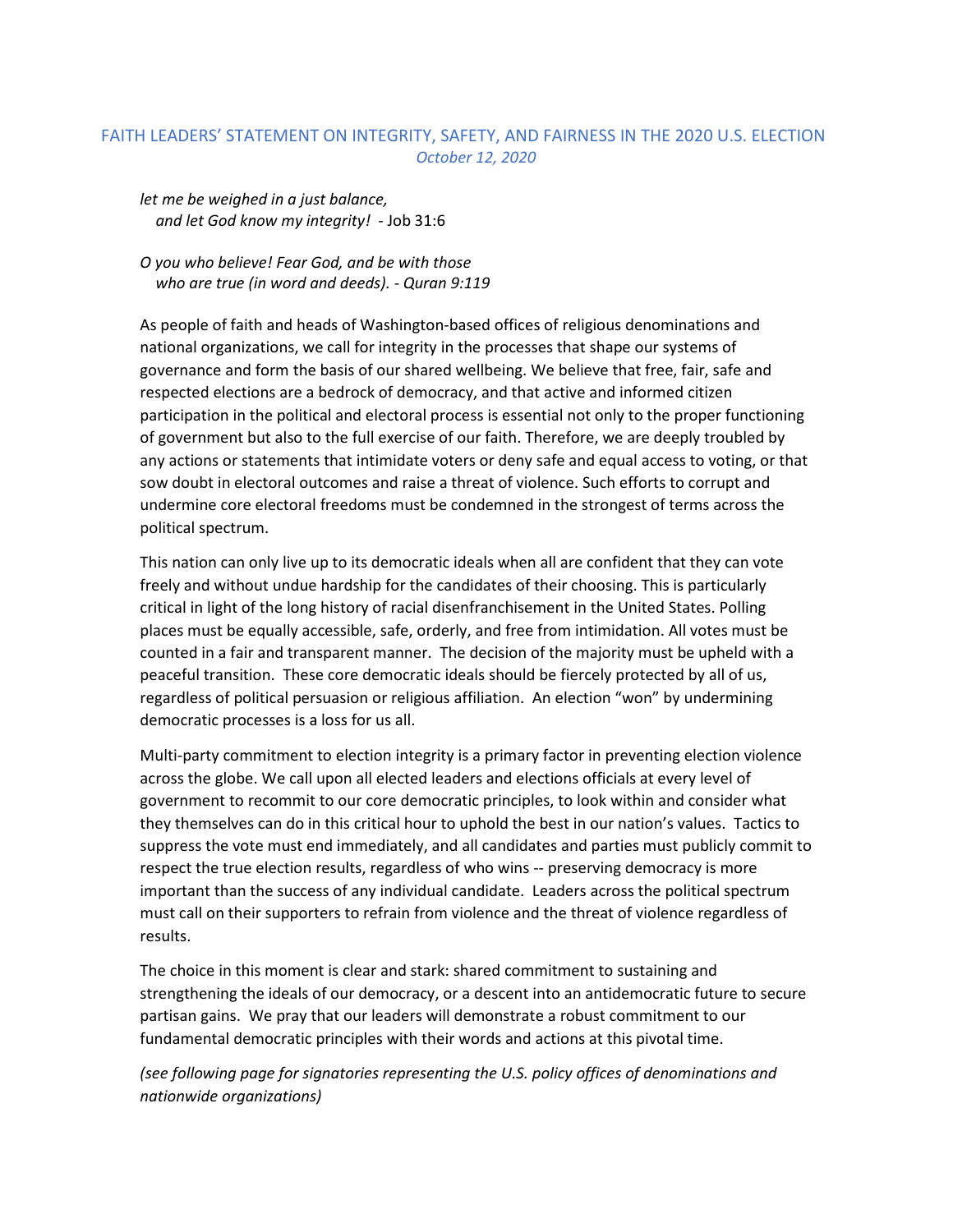## FAITH LEADERS' STATEMENT ON INTEGRITY, SAFETY, AND FAIRNESS IN THE 2020 U.S. ELECTION *October 12, 2020*

*let me be weighed in a just balance, and let God know my integrity! -* Job 31:6

*O you who believe! Fear God, and be with those who are true (in word and deeds). - Quran 9:119*

As people of faith and heads of Washington-based offices of religious denominations and national organizations, we call for integrity in the processes that shape our systems of governance and form the basis of our shared wellbeing. We believe that free, fair, safe and respected elections are a bedrock of democracy, and that active and informed citizen participation in the political and electoral process is essential not only to the proper functioning of government but also to the full exercise of our faith. Therefore, we are deeply troubled by any actions or statements that intimidate voters or deny safe and equal access to voting, or that sow doubt in electoral outcomes and raise a threat of violence. Such efforts to corrupt and undermine core electoral freedoms must be condemned in the strongest of terms across the political spectrum.

This nation can only live up to its democratic ideals when all are confident that they can vote freely and without undue hardship for the candidates of their choosing. This is particularly critical in light of the long history of racial disenfranchisement in the United States. Polling places must be equally accessible, safe, orderly, and free from intimidation. All votes must be counted in a fair and transparent manner. The decision of the majority must be upheld with a peaceful transition. These core democratic ideals should be fiercely protected by all of us, regardless of political persuasion or religious affiliation. An election "won" by undermining democratic processes is a loss for us all.

Multi-party commitment to election integrity is a primary factor in preventing election violence across the globe. We call upon all elected leaders and elections officials at every level of government to recommit to our core democratic principles, to look within and consider what they themselves can do in this critical hour to uphold the best in our nation's values. Tactics to suppress the vote must end immediately, and all candidates and parties must publicly commit to respect the true election results, regardless of who wins -- preserving democracy is more important than the success of any individual candidate. Leaders across the political spectrum must call on their supporters to refrain from violence and the threat of violence regardless of results.

The choice in this moment is clear and stark: shared commitment to sustaining and strengthening the ideals of our democracy, or a descent into an antidemocratic future to secure partisan gains. We pray that our leaders will demonstrate a robust commitment to our fundamental democratic principles with their words and actions at this pivotal time.

*(see following page for signatories representing the U.S. policy offices of denominations and nationwide organizations)*